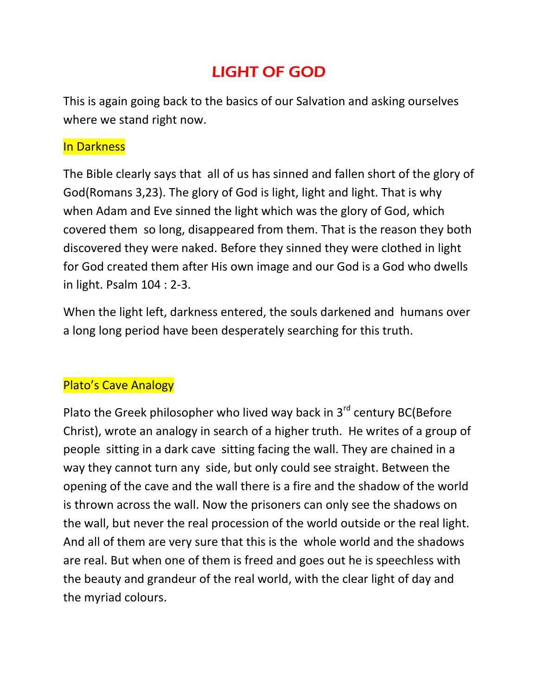# LIGHT OF GOD

This is again going back to the basics of our Salvation and asking ourselves where we stand right now.

#### In Darkness

The Bible clearly says that all of us has sinned and fallen short of the glory of God(Romans 3,23). The glory of God is light, light and light. That is why when Adam and Eve sinned the light which was the glory of God, which covered them so long, disappeared from them. That is the reason they both discovered they were naked. Before they sinned they were clothed in light for God created them after His own image and our God is a God who dwells in light. Psalm 104 : 2-3.

When the light left, darkness entered, the souls darkened and humans over a long long period have been desperately searching for this truth.

## Plato's Cave Analogy

Plato the Greek philosopher who lived way back in  $3<sup>rd</sup>$  century BC(Before Christ), wrote an analogy in search of a higher truth. He writes of a group of people sitting in a dark cave sitting facing the wall. They are chained in a way they cannot turn any side, but only could see straight. Between the opening of the cave and the wall there is a fire and the shadow of the world is thrown across the wall. Now the prisoners can only see the shadows on the wall, but never the real procession of the world outside or the real light. And all of them are very sure that this is the whole world and the shadows are real. But when one of them is freed and goes out he is speechless with the beauty and grandeur of the real world, with the clear light of day and the myriad colours.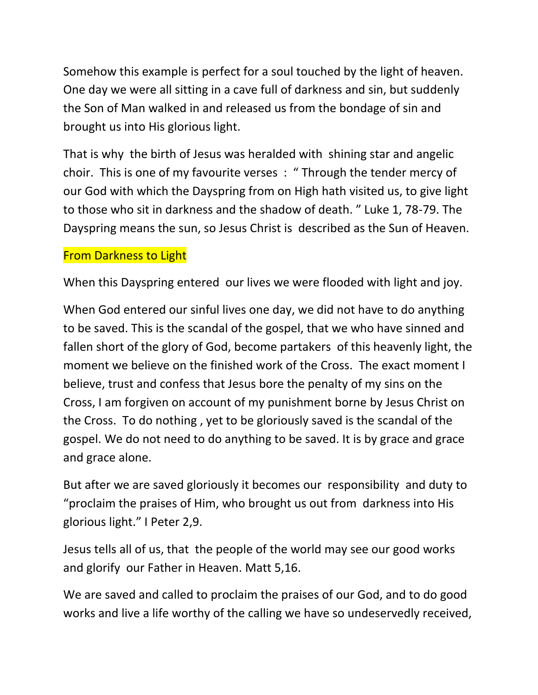Somehow this example is perfect for a soul touched by the light of heaven. One day we were all sitting in a cave full of darkness and sin, but suddenly the Son of Man walked in and released us from the bondage of sin and brought us into His glorious light.

That is why the birth of Jesus was heralded with shining star and angelic choir. This is one of my favourite verses : " Through the tender mercy of our God with which the Dayspring from on High hath visited us, to give light to those who sit in darkness and the shadow of death. " Luke 1, 78-79. The Dayspring means the sun, so Jesus Christ is described as the Sun of Heaven.

#### From Darkness to Light

When this Dayspring entered our lives we were flooded with light and joy.

When God entered our sinful lives one day, we did not have to do anything to be saved. This is the scandal of the gospel, that we who have sinned and fallen short of the glory of God, become partakers of this heavenly light, the moment we believe on the finished work of the Cross. The exact moment I believe, trust and confess that Jesus bore the penalty of my sins on the Cross, I am forgiven on account of my punishment borne by Jesus Christ on the Cross. To do nothing , yet to be gloriously saved is the scandal of the gospel. We do not need to do anything to be saved. It is by grace and grace and grace alone.

But after we are saved gloriously it becomes our responsibility and duty to "proclaim the praises of Him, who brought us out from darkness into His glorious light." I Peter 2,9.

Jesus tells all of us, that the people of the world may see our good works and glorify our Father in Heaven. Matt 5,16.

We are saved and called to proclaim the praises of our God, and to do good works and live a life worthy of the calling we have so undeservedly received,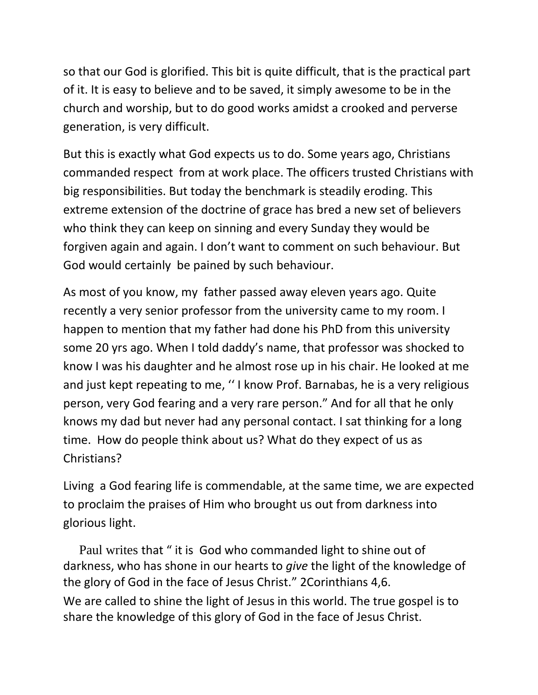so that our God is glorified. This bit is quite difficult, that is the practical part of it. It is easy to believe and to be saved, it simply awesome to be in the church and worship, but to do good works amidst a crooked and perverse generation, is very difficult.

But this is exactly what God expects us to do. Some years ago, Christians commanded respect from at work place. The officers trusted Christians with big responsibilities. But today the benchmark is steadily eroding. This extreme extension of the doctrine of grace has bred a new set of believers who think they can keep on sinning and every Sunday they would be forgiven again and again. I don't want to comment on such behaviour. But God would certainly be pained by such behaviour.

As most of you know, my father passed away eleven years ago. Quite recently a very senior professor from the university came to my room. I happen to mention that my father had done his PhD from this university some 20 yrs ago. When I told daddy's name, that professor was shocked to know I was his daughter and he almost rose up in his chair. He looked at me and just kept repeating to me, '' I know Prof. Barnabas, he is a very religious person, very God fearing and a very rare person." And for all that he only knows my dad but never had any personal contact. I sat thinking for a long time. How do people think about us? What do they expect of us as Christians?

Living a God fearing life is commendable, at the same time, we are expected to proclaim the praises of Him who brought us out from darkness into glorious light.

Paul writes that " it is God who commanded light to shine out of darkness, who has shone in our hearts to *give* the light of the knowledge of the glory of God in the face of Jesus Christ." 2Corinthians 4,6. We are called to shine the light of Jesus in this world. The true gospel is to share the knowledge of this glory of God in the face of Jesus Christ.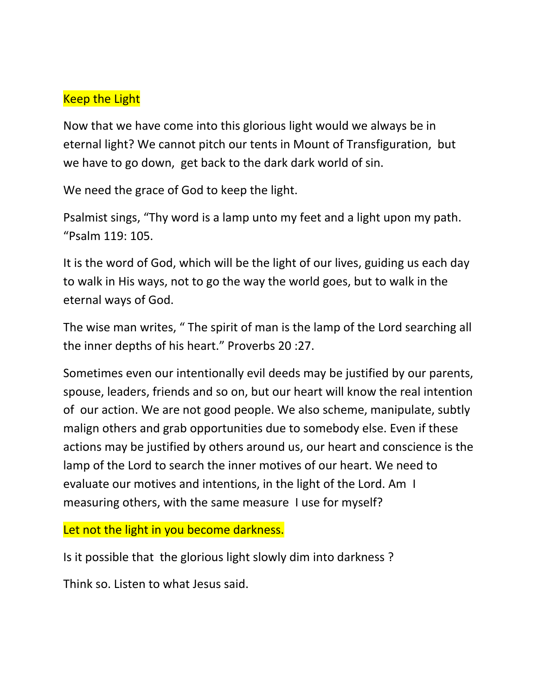### Keep the Light

Now that we have come into this glorious light would we always be in eternal light? We cannot pitch our tents in Mount of Transfiguration, but we have to go down, get back to the dark dark world of sin.

We need the grace of God to keep the light.

Psalmist sings, "Thy word is a lamp unto my feet and a light upon my path. "Psalm 119: 105.

It is the word of God, which will be the light of our lives, guiding us each day to walk in His ways, not to go the way the world goes, but to walk in the eternal ways of God.

The wise man writes, " The spirit of man is the lamp of the Lord searching all the inner depths of his heart." Proverbs 20 :27.

Sometimes even our intentionally evil deeds may be justified by our parents, spouse, leaders, friends and so on, but our heart will know the real intention of our action. We are not good people. We also scheme, manipulate, subtly malign others and grab opportunities due to somebody else. Even if these actions may be justified by others around us, our heart and conscience is the lamp of the Lord to search the inner motives of our heart. We need to evaluate our motives and intentions, in the light of the Lord. Am I measuring others, with the same measure I use for myself?

#### Let not the light in you become darkness.

Is it possible that the glorious light slowly dim into darkness ?

Think so. Listen to what Jesus said.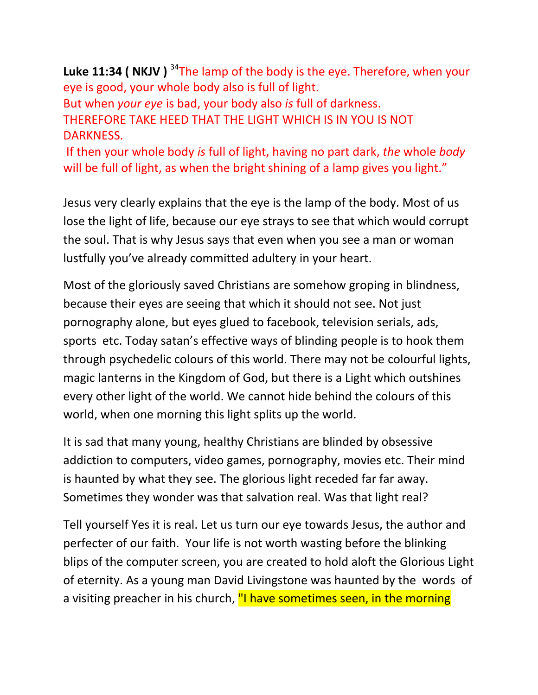Luke 11:34 ( NKJV )<sup>34</sup>The lamp of the body is the eye. Therefore, when your eye is good, your whole body also is full of light. But when *your eye* is bad, your body also *is* full of darkness. THEREFORE TAKE HEED THAT THE LIGHT WHICH IS IN YOU IS NOT DARKNESS.

If then your whole body *is* full of light, having no part dark, *the* whole *body* will be full of light, as when the bright shining of a lamp gives you light."

Jesus very clearly explains that the eye is the lamp of the body. Most of us lose the light of life, because our eye strays to see that which would corrupt the soul. That is why Jesus says that even when you see a man or woman lustfully you've already committed adultery in your heart.

Most of the gloriously saved Christians are somehow groping in blindness, because their eyes are seeing that which it should not see. Not just pornography alone, but eyes glued to facebook, television serials, ads, sports etc. Today satan's effective ways of blinding people is to hook them through psychedelic colours of this world. There may not be colourful lights, magic lanterns in the Kingdom of God, but there is a Light which outshines every other light of the world. We cannot hide behind the colours of this world, when one morning this light splits up the world.

It is sad that many young, healthy Christians are blinded by obsessive addiction to computers, video games, pornography, movies etc. Their mind is haunted by what they see. The glorious light receded far far away. Sometimes they wonder was that salvation real. Was that light real?

Tell yourself Yes it is real. Let us turn our eye towards Jesus, the author and perfecter of our faith. Your life is not worth wasting before the blinking blips of the computer screen, you are created to hold aloft the Glorious Light of eternity. As a young man David Livingstone was haunted by the words of a visiting preacher in his church, "I have sometimes seen, in the morning